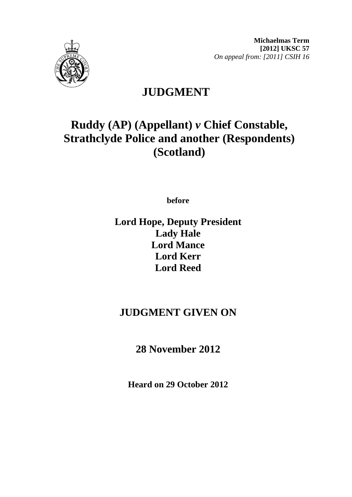

**Michaelmas Term [2012] UKSC 57**  *On appeal from: [2011] CSIH 16* 

# **JUDGMENT**

# **Ruddy (AP) (Appellant)** *v* **Chief Constable, Strathclyde Police and another (Respondents) (Scotland)**

**before** 

**Lord Hope, Deputy President Lady Hale Lord Mance Lord Kerr Lord Reed**

## **JUDGMENT GIVEN ON**

**28 November 2012**

**Heard on 29 October 2012**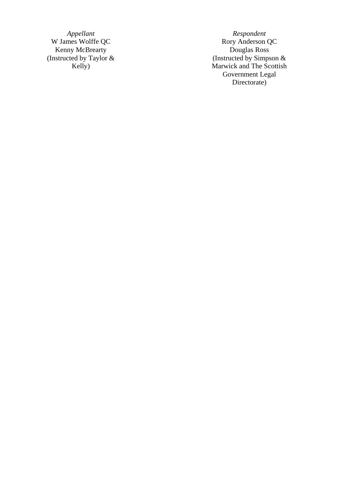W James Wolffe QC Kenny McBrearty **Douglas Ross** (Instructed by Taylor & Kelly)

*Appellant* Respondent<br> **Respondent**<br>
Rory Anderson QC Douglas Ross<br>(Instructed by Simpson & Marwick and The Scottish Government Legal Directorate)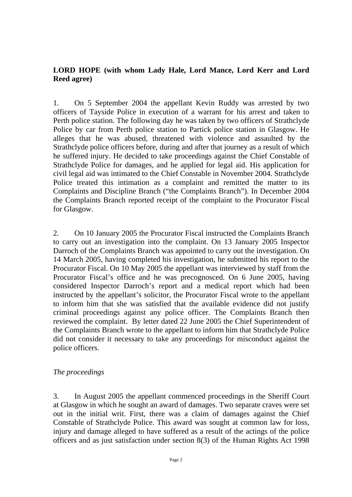### **LORD HOPE (with whom Lady Hale, Lord Mance, Lord Kerr and Lord Reed agree)**

1. On 5 September 2004 the appellant Kevin Ruddy was arrested by two officers of Tayside Police in execution of a warrant for his arrest and taken to Perth police station. The following day he was taken by two officers of Strathclyde Police by car from Perth police station to Partick police station in Glasgow. He alleges that he was abused, threatened with violence and assaulted by the Strathclyde police officers before, during and after that journey as a result of which he suffered injury. He decided to take proceedings against the Chief Constable of Strathclyde Police for damages, and he applied for legal aid. His application for civil legal aid was intimated to the Chief Constable in November 2004. Strathclyde Police treated this intimation as a complaint and remitted the matter to its Complaints and Discipline Branch ("the Complaints Branch"). In December 2004 the Complaints Branch reported receipt of the complaint to the Procurator Fiscal for Glasgow.

2. On 10 January 2005 the Procurator Fiscal instructed the Complaints Branch to carry out an investigation into the complaint. On 13 January 2005 Inspector Darroch of the Complaints Branch was appointed to carry out the investigation. On 14 March 2005, having completed his investigation, he submitted his report to the Procurator Fiscal. On 10 May 2005 the appellant was interviewed by staff from the Procurator Fiscal's office and he was precognosced. On 6 June 2005, having considered Inspector Darroch's report and a medical report which had been instructed by the appellant's solicitor, the Procurator Fiscal wrote to the appellant to inform him that she was satisfied that the available evidence did not justify criminal proceedings against any police officer. The Complaints Branch then reviewed the complaint. By letter dated 22 June 2005 the Chief Superintendent of the Complaints Branch wrote to the appellant to inform him that Strathclyde Police did not consider it necessary to take any proceedings for misconduct against the police officers.

### *The proceedings*

3. In August 2005 the appellant commenced proceedings in the Sheriff Court at Glasgow in which he sought an award of damages. Two separate craves were set out in the initial writ. First, there was a claim of damages against the Chief Constable of Strathclyde Police. This award was sought at common law for loss, injury and damage alleged to have suffered as a result of the actings of the police officers and as just satisfaction under section 8(3) of the Human Rights Act 1998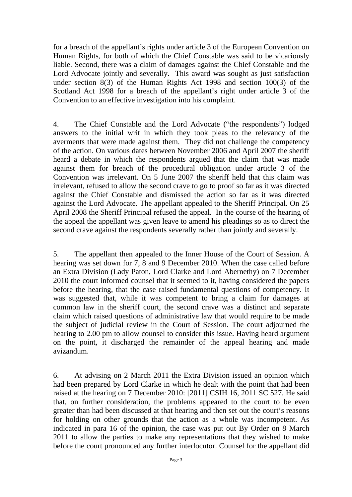for a breach of the appellant's rights under article 3 of the European Convention on Human Rights, for both of which the Chief Constable was said to be vicariously liable. Second, there was a claim of damages against the Chief Constable and the Lord Advocate jointly and severally. This award was sought as just satisfaction under section 8(3) of the Human Rights Act 1998 and section 100(3) of the Scotland Act 1998 for a breach of the appellant's right under article 3 of the Convention to an effective investigation into his complaint.

4. The Chief Constable and the Lord Advocate ("the respondents") lodged answers to the initial writ in which they took pleas to the relevancy of the averments that were made against them. They did not challenge the competency of the action. On various dates between November 2006 and April 2007 the sheriff heard a debate in which the respondents argued that the claim that was made against them for breach of the procedural obligation under article 3 of the Convention was irrelevant. On 5 June 2007 the sheriff held that this claim was irrelevant, refused to allow the second crave to go to proof so far as it was directed against the Chief Constable and dismissed the action so far as it was directed against the Lord Advocate. The appellant appealed to the Sheriff Principal. On 25 April 2008 the Sheriff Principal refused the appeal. In the course of the hearing of the appeal the appellant was given leave to amend his pleadings so as to direct the second crave against the respondents severally rather than jointly and severally.

5. The appellant then appealed to the Inner House of the Court of Session. A hearing was set down for 7, 8 and 9 December 2010. When the case called before an Extra Division (Lady Paton, Lord Clarke and Lord Abernethy) on 7 December 2010 the court informed counsel that it seemed to it, having considered the papers before the hearing, that the case raised fundamental questions of competency. It was suggested that, while it was competent to bring a claim for damages at common law in the sheriff court, the second crave was a distinct and separate claim which raised questions of administrative law that would require to be made the subject of judicial review in the Court of Session. The court adjourned the hearing to 2.00 pm to allow counsel to consider this issue. Having heard argument on the point, it discharged the remainder of the appeal hearing and made avizandum.

6. At advising on 2 March 2011 the Extra Division issued an opinion which had been prepared by Lord Clarke in which he dealt with the point that had been raised at the hearing on 7 December 2010: [2011] CSIH 16, 2011 SC 527. He said that, on further consideration, the problems appeared to the court to be even greater than had been discussed at that hearing and then set out the court's reasons for holding on other grounds that the action as a whole was incompetent. As indicated in para 16 of the opinion, the case was put out By Order on 8 March 2011 to allow the parties to make any representations that they wished to make before the court pronounced any further interlocutor. Counsel for the appellant did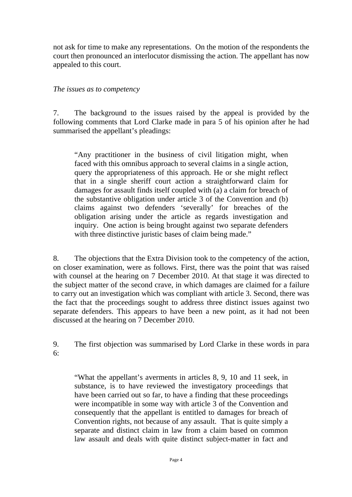not ask for time to make any representations. On the motion of the respondents the court then pronounced an interlocutor dismissing the action. The appellant has now appealed to this court.

### *The issues as to competency*

7. The background to the issues raised by the appeal is provided by the following comments that Lord Clarke made in para 5 of his opinion after he had summarised the appellant's pleadings:

"Any practitioner in the business of civil litigation might, when faced with this omnibus approach to several claims in a single action, query the appropriateness of this approach. He or she might reflect that in a single sheriff court action a straightforward claim for damages for assault finds itself coupled with (a) a claim for breach of the substantive obligation under article 3 of the Convention and (b) claims against two defenders 'severally' for breaches of the obligation arising under the article as regards investigation and inquiry. One action is being brought against two separate defenders with three distinctive juristic bases of claim being made."

8. The objections that the Extra Division took to the competency of the action, on closer examination, were as follows. First, there was the point that was raised with counsel at the hearing on 7 December 2010. At that stage it was directed to the subject matter of the second crave, in which damages are claimed for a failure to carry out an investigation which was compliant with article 3. Second, there was the fact that the proceedings sought to address three distinct issues against two separate defenders. This appears to have been a new point, as it had not been discussed at the hearing on 7 December 2010.

9. The first objection was summarised by Lord Clarke in these words in para  $6^{\circ}$ 

"What the appellant's averments in articles 8, 9, 10 and 11 seek, in substance, is to have reviewed the investigatory proceedings that have been carried out so far, to have a finding that these proceedings were incompatible in some way with article 3 of the Convention and consequently that the appellant is entitled to damages for breach of Convention rights, not because of any assault. That is quite simply a separate and distinct claim in law from a claim based on common law assault and deals with quite distinct subject-matter in fact and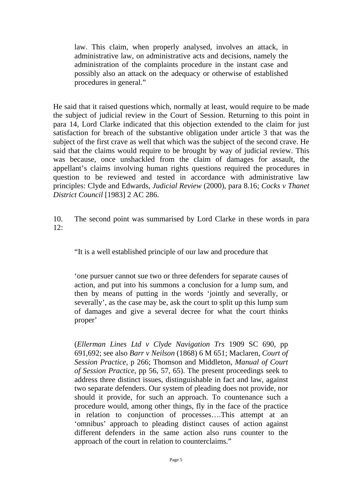law. This claim, when properly analysed, involves an attack, in administrative law, on administrative acts and decisions, namely the administration of the complaints procedure in the instant case and possibly also an attack on the adequacy or otherwise of established procedures in general."

He said that it raised questions which, normally at least, would require to be made the subject of judicial review in the Court of Session. Returning to this point in para 14, Lord Clarke indicated that this objection extended to the claim for just satisfaction for breach of the substantive obligation under article 3 that was the subject of the first crave as well that which was the subject of the second crave. He said that the claims would require to be brought by way of judicial review. This was because, once unshackled from the claim of damages for assault, the appellant's claims involving human rights questions required the procedures in question to be reviewed and tested in accordance with administrative law principles: Clyde and Edwards, *Judicial Review* (2000), para 8.16; *Cocks v Thanet District Council* [1983] 2 AC 286.

10. The second point was summarised by Lord Clarke in these words in para 12:

"It is a well established principle of our law and procedure that

'one pursuer cannot sue two or three defenders for separate causes of action, and put into his summons a conclusion for a lump sum, and then by means of putting in the words 'jointly and severally, or severally', as the case may be, ask the court to split up this lump sum of damages and give a several decree for what the court thinks proper'

(*Ellerman Lines Ltd v Clyde Navigation Trs* 1909 SC 690, pp 691,692; see also *Barr v Neilson* (1868) 6 M 651; Maclaren, *Court of Session Practice*, p 266; Thomson and Middleton, *Manual of Court of Session Practice*, pp 56, 57, 65). The present proceedings seek to address three distinct issues, distinguishable in fact and law, against two separate defenders. Our system of pleading does not provide, nor should it provide, for such an approach. To countenance such a procedure would, among other things, fly in the face of the practice in relation to conjunction of processes….This attempt at an 'omnibus' approach to pleading distinct causes of action against different defenders in the same action also runs counter to the approach of the court in relation to counterclaims."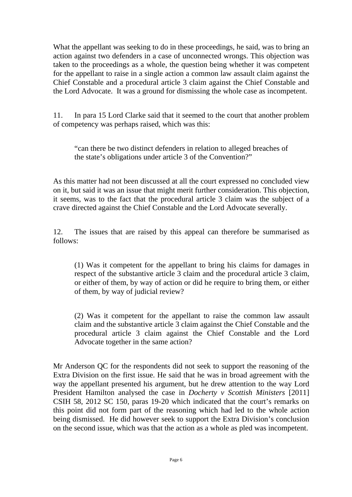What the appellant was seeking to do in these proceedings, he said, was to bring an action against two defenders in a case of unconnected wrongs. This objection was taken to the proceedings as a whole, the question being whether it was competent for the appellant to raise in a single action a common law assault claim against the Chief Constable and a procedural article 3 claim against the Chief Constable and the Lord Advocate. It was a ground for dismissing the whole case as incompetent.

11. In para 15 Lord Clarke said that it seemed to the court that another problem of competency was perhaps raised, which was this:

"can there be two distinct defenders in relation to alleged breaches of the state's obligations under article 3 of the Convention?"

As this matter had not been discussed at all the court expressed no concluded view on it, but said it was an issue that might merit further consideration. This objection, it seems, was to the fact that the procedural article 3 claim was the subject of a crave directed against the Chief Constable and the Lord Advocate severally.

12. The issues that are raised by this appeal can therefore be summarised as follows:

(1) Was it competent for the appellant to bring his claims for damages in respect of the substantive article 3 claim and the procedural article 3 claim, or either of them, by way of action or did he require to bring them, or either of them, by way of judicial review?

(2) Was it competent for the appellant to raise the common law assault claim and the substantive article 3 claim against the Chief Constable and the procedural article 3 claim against the Chief Constable and the Lord Advocate together in the same action?

Mr Anderson QC for the respondents did not seek to support the reasoning of the Extra Division on the first issue. He said that he was in broad agreement with the way the appellant presented his argument, but he drew attention to the way Lord President Hamilton analysed the case in *Docherty v Scottish Ministers* [2011] CSIH 58, 2012 SC 150, paras 19-20 which indicated that the court's remarks on this point did not form part of the reasoning which had led to the whole action being dismissed. He did however seek to support the Extra Division's conclusion on the second issue, which was that the action as a whole as pled was incompetent.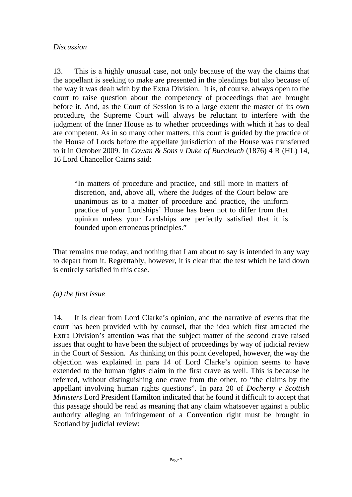#### *Discussion*

13. This is a highly unusual case, not only because of the way the claims that the appellant is seeking to make are presented in the pleadings but also because of the way it was dealt with by the Extra Division. It is, of course, always open to the court to raise question about the competency of proceedings that are brought before it. And, as the Court of Session is to a large extent the master of its own procedure, the Supreme Court will always be reluctant to interfere with the judgment of the Inner House as to whether proceedings with which it has to deal are competent. As in so many other matters, this court is guided by the practice of the House of Lords before the appellate jurisdiction of the House was transferred to it in October 2009. In *Cowan & Sons v Duke of Buccleuch* (1876) 4 R (HL) 14, 16 Lord Chancellor Cairns said:

"In matters of procedure and practice, and still more in matters of discretion, and, above all, where the Judges of the Court below are unanimous as to a matter of procedure and practice, the uniform practice of your Lordships' House has been not to differ from that opinion unless your Lordships are perfectly satisfied that it is founded upon erroneous principles."

That remains true today, and nothing that I am about to say is intended in any way to depart from it. Regrettably, however, it is clear that the test which he laid down is entirely satisfied in this case.

#### *(a) the first issue*

14. It is clear from Lord Clarke's opinion, and the narrative of events that the court has been provided with by counsel, that the idea which first attracted the Extra Division's attention was that the subject matter of the second crave raised issues that ought to have been the subject of proceedings by way of judicial review in the Court of Session. As thinking on this point developed, however, the way the objection was explained in para 14 of Lord Clarke's opinion seems to have extended to the human rights claim in the first crave as well. This is because he referred, without distinguishing one crave from the other, to "the claims by the appellant involving human rights questions". In para 20 of *Docherty v Scottish Ministers* Lord President Hamilton indicated that he found it difficult to accept that this passage should be read as meaning that any claim whatsoever against a public authority alleging an infringement of a Convention right must be brought in Scotland by judicial review: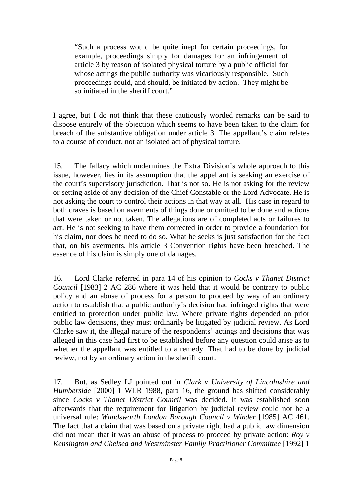"Such a process would be quite inept for certain proceedings, for example, proceedings simply for damages for an infringement of article 3 by reason of isolated physical torture by a public official for whose actings the public authority was vicariously responsible. Such proceedings could, and should, be initiated by action. They might be so initiated in the sheriff court."

I agree, but I do not think that these cautiously worded remarks can be said to dispose entirely of the objection which seems to have been taken to the claim for breach of the substantive obligation under article 3. The appellant's claim relates to a course of conduct, not an isolated act of physical torture.

15. The fallacy which undermines the Extra Division's whole approach to this issue, however, lies in its assumption that the appellant is seeking an exercise of the court's supervisory jurisdiction. That is not so. He is not asking for the review or setting aside of any decision of the Chief Constable or the Lord Advocate. He is not asking the court to control their actions in that way at all. His case in regard to both craves is based on averments of things done or omitted to be done and actions that were taken or not taken. The allegations are of completed acts or failures to act. He is not seeking to have them corrected in order to provide a foundation for his claim, nor does he need to do so. What he seeks is just satisfaction for the fact that, on his averments, his article 3 Convention rights have been breached. The essence of his claim is simply one of damages.

16. Lord Clarke referred in para 14 of his opinion to *Cocks v Thanet District Council* [1983] 2 AC 286 where it was held that it would be contrary to public policy and an abuse of process for a person to proceed by way of an ordinary action to establish that a public authority's decision had infringed rights that were entitled to protection under public law. Where private rights depended on prior public law decisions, they must ordinarily be litigated by judicial review. As Lord Clarke saw it, the illegal nature of the respondents' actings and decisions that was alleged in this case had first to be established before any question could arise as to whether the appellant was entitled to a remedy. That had to be done by judicial review, not by an ordinary action in the sheriff court.

17. But, as Sedley LJ pointed out in *Clark v University of Lincolnshire and Humberside* [2000] 1 WLR 1988, para 16, the ground has shifted considerably since *Cocks v Thanet District Council* was decided. It was established soon afterwards that the requirement for litigation by judicial review could not be a universal rule: *Wandsworth London Borough Council v Winder* [1985] AC 461. The fact that a claim that was based on a private right had a public law dimension did not mean that it was an abuse of process to proceed by private action: *Roy v Kensington and Chelsea and Westminster Family Practitioner Committee* [1992] 1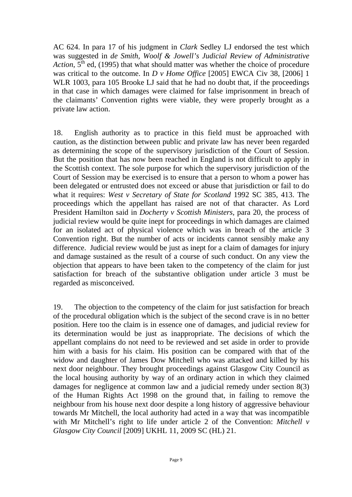AC 624. In para 17 of his judgment in *Clark* Sedley LJ endorsed the test which was suggested in *de Smith, Woolf & Jowell's Judicial Review of Administrative Action*,  $5<sup>th</sup>$  ed, (1995) that what should matter was whether the choice of procedure was critical to the outcome. In *D v Home Office* [2005] EWCA Civ 38, [2006] 1 WLR 1003, para 105 Brooke LJ said that he had no doubt that, if the proceedings in that case in which damages were claimed for false imprisonment in breach of the claimants' Convention rights were viable, they were properly brought as a private law action.

18. English authority as to practice in this field must be approached with caution, as the distinction between public and private law has never been regarded as determining the scope of the supervisory jurisdiction of the Court of Session. But the position that has now been reached in England is not difficult to apply in the Scottish context. The sole purpose for which the supervisory jurisdiction of the Court of Session may be exercised is to ensure that a person to whom a power has been delegated or entrusted does not exceed or abuse that jurisdiction or fail to do what it requires: *West v Secretary of State for Scotland* 1992 SC 385, 413. The proceedings which the appellant has raised are not of that character. As Lord President Hamilton said in *Docherty v Scottish Ministers*, para 20, the process of judicial review would be quite inept for proceedings in which damages are claimed for an isolated act of physical violence which was in breach of the article 3 Convention right. But the number of acts or incidents cannot sensibly make any difference. Judicial review would be just as inept for a claim of damages for injury and damage sustained as the result of a course of such conduct. On any view the objection that appears to have been taken to the competency of the claim for just satisfaction for breach of the substantive obligation under article 3 must be regarded as misconceived.

19. The objection to the competency of the claim for just satisfaction for breach of the procedural obligation which is the subject of the second crave is in no better position. Here too the claim is in essence one of damages, and judicial review for its determination would be just as inappropriate. The decisions of which the appellant complains do not need to be reviewed and set aside in order to provide him with a basis for his claim. His position can be compared with that of the widow and daughter of James Dow Mitchell who was attacked and killed by his next door neighbour. They brought proceedings against Glasgow City Council as the local housing authority by way of an ordinary action in which they claimed damages for negligence at common law and a judicial remedy under section 8(3) of the Human Rights Act 1998 on the ground that, in failing to remove the neighbour from his house next door despite a long history of aggressive behaviour towards Mr Mitchell, the local authority had acted in a way that was incompatible with Mr Mitchell's right to life under article 2 of the Convention: *Mitchell v Glasgow City Council* [2009] UKHL 11, 2009 SC (HL) 21.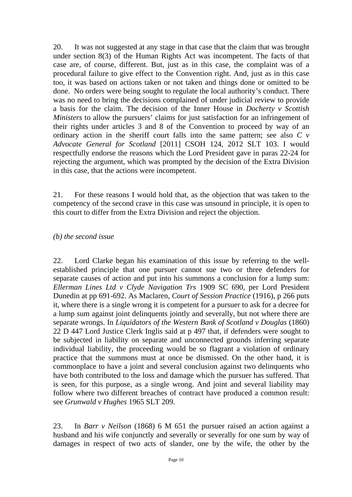20. It was not suggested at any stage in that case that the claim that was brought under section 8(3) of the Human Rights Act was incompetent. The facts of that case are, of course, different. But, just as in this case, the complaint was of a procedural failure to give effect to the Convention right. And, just as in this case too, it was based on actions taken or not taken and things done or omitted to be done. No orders were being sought to regulate the local authority's conduct. There was no need to bring the decisions complained of under judicial review to provide a basis for the claim. The decision of the Inner House in *Docherty v Scottish Ministers* to allow the pursuers' claims for just satisfaction for an infringement of their rights under articles 3 and 8 of the Convention to proceed by way of an ordinary action in the sheriff court falls into the same pattern; see also *C v Advocate General for Scotland* [2011] CSOH 124, 2012 SLT 103. I would respectfully endorse the reasons which the Lord President gave in paras 22-24 for rejecting the argument, which was prompted by the decision of the Extra Division in this case, that the actions were incompetent.

21. For these reasons I would hold that, as the objection that was taken to the competency of the second crave in this case was unsound in principle, it is open to this court to differ from the Extra Division and reject the objection.

#### *(b) the second issue*

22. Lord Clarke began his examination of this issue by referring to the wellestablished principle that one pursuer cannot sue two or three defenders for separate causes of action and put into his summons a conclusion for a lump sum: *Ellerman Lines Ltd v Clyde Navigation Trs* 1909 SC 690, per Lord President Dunedin at pp 691-692. As Maclaren, *Court of Session Practice* (1916), p 266 puts it, where there is a single wrong it is competent for a pursuer to ask for a decree for a lump sum against joint delinquents jointly and severally, but not where there are separate wrongs. In *Liquidators of the Western Bank of Scotland v Douglas* (1860) 22 D 447 Lord Justice Clerk Inglis said at p 497 that, if defenders were sought to be subjected in liability on separate and unconnected grounds inferring separate individual liability, the proceeding would be so flagrant a violation of ordinary practice that the summons must at once be dismissed. On the other hand, it is commonplace to have a joint and several conclusion against two delinquents who have both contributed to the loss and damage which the pursuer has suffered. That is seen, for this purpose, as a single wrong. And joint and several liability may follow where two different breaches of contract have produced a common result: see *Grunwald v Hughes* 1965 SLT 209.

23. In *Barr v Neilson* (1868) 6 M 651 the pursuer raised an action against a husband and his wife conjunctly and severally or severally for one sum by way of damages in respect of two acts of slander, one by the wife, the other by the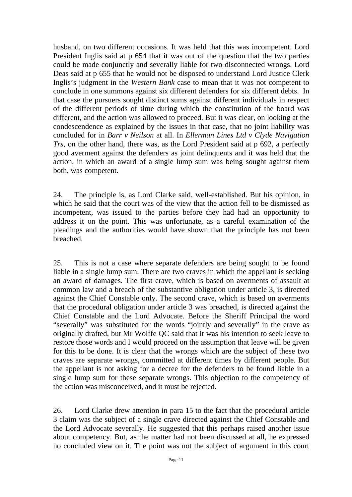husband, on two different occasions. It was held that this was incompetent. Lord President Inglis said at p 654 that it was out of the question that the two parties could be made conjunctly and severally liable for two disconnected wrongs. Lord Deas said at p 655 that he would not be disposed to understand Lord Justice Clerk Inglis's judgment in the *Western Bank* case to mean that it was not competent to conclude in one summons against six different defenders for six different debts. In that case the pursuers sought distinct sums against different individuals in respect of the different periods of time during which the constitution of the board was different, and the action was allowed to proceed. But it was clear, on looking at the condescendence as explained by the issues in that case, that no joint liability was concluded for in *Barr v Neilson* at all. In *Ellerman Lines Ltd v Clyde Navigation Trs*, on the other hand, there was, as the Lord President said at p 692, a perfectly good averment against the defenders as joint delinquents and it was held that the action, in which an award of a single lump sum was being sought against them both, was competent.

24. The principle is, as Lord Clarke said, well-established. But his opinion, in which he said that the court was of the view that the action fell to be dismissed as incompetent, was issued to the parties before they had had an opportunity to address it on the point. This was unfortunate, as a careful examination of the pleadings and the authorities would have shown that the principle has not been breached.

25. This is not a case where separate defenders are being sought to be found liable in a single lump sum. There are two craves in which the appellant is seeking an award of damages. The first crave, which is based on averments of assault at common law and a breach of the substantive obligation under article 3, is directed against the Chief Constable only. The second crave, which is based on averments that the procedural obligation under article 3 was breached, is directed against the Chief Constable and the Lord Advocate. Before the Sheriff Principal the word "severally" was substituted for the words "jointly and severally" in the crave as originally drafted, but Mr Wolffe QC said that it was his intention to seek leave to restore those words and I would proceed on the assumption that leave will be given for this to be done. It is clear that the wrongs which are the subject of these two craves are separate wrongs, committed at different times by different people. But the appellant is not asking for a decree for the defenders to be found liable in a single lump sum for these separate wrongs. This objection to the competency of the action was misconceived, and it must be rejected.

26. Lord Clarke drew attention in para 15 to the fact that the procedural article 3 claim was the subject of a single crave directed against the Chief Constable and the Lord Advocate severally. He suggested that this perhaps raised another issue about competency. But, as the matter had not been discussed at all, he expressed no concluded view on it. The point was not the subject of argument in this court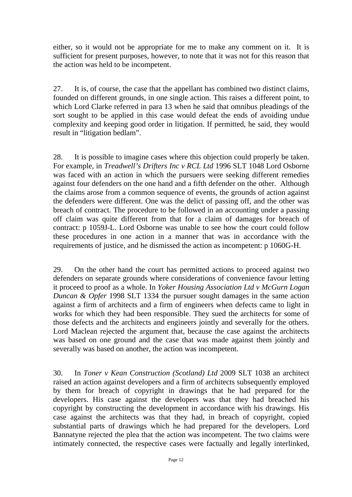either, so it would not be appropriate for me to make any comment on it. It is sufficient for present purposes, however, to note that it was not for this reason that the action was held to be incompetent.

27. It is, of course, the case that the appellant has combined two distinct claims, founded on different grounds, in one single action. This raises a different point, to which Lord Clarke referred in para 13 when he said that omnibus pleadings of the sort sought to be applied in this case would defeat the ends of avoiding undue complexity and keeping good order in litigation. If permitted, he said, they would result in "litigation bedlam".

28. It is possible to imagine cases where this objection could properly be taken. For example, in *Treadwell's Drifters Inc v RCL Ltd* 1996 SLT 1048 Lord Osborne was faced with an action in which the pursuers were seeking different remedies against four defenders on the one hand and a fifth defender on the other. Although the claims arose from a common sequence of events, the grounds of action against the defenders were different. One was the delict of passing off, and the other was breach of contract. The procedure to be followed in an accounting under a passing off claim was quite different from that for a claim of damages for breach of contract: p 1059J-L. Lord Osborne was unable to see how the court could follow these procedures in one action in a manner that was in accordance with the requirements of justice, and he dismissed the action as incompetent: p 1060G-H.

29. On the other hand the court has permitted actions to proceed against two defenders on separate grounds where considerations of convenience favour letting it proceed to proof as a whole. In *Yoker Housing Association Ltd v McGurn Logan Duncan & Opfer* 1998 SLT 1334 the pursuer sought damages in the same action against a firm of architects and a firm of engineers when defects came to light in works for which they had been responsible. They sued the architects for some of those defects and the architects and engineers jointly and severally for the others. Lord Maclean rejected the argument that, because the case against the architects was based on one ground and the case that was made against them jointly and severally was based on another, the action was incompetent.

30. In *Toner v Kean Construction (Scotland) Ltd* 2009 SLT 1038 an architect raised an action against developers and a firm of architects subsequently employed by them for breach of copyright in drawings that he had prepared for the developers. His case against the developers was that they had breached his copyright by constructing the development in accordance with his drawings. His case against the architects was that they had, in breach of copyright, copied substantial parts of drawings which he had prepared for the developers. Lord Bannatyne rejected the plea that the action was incompetent. The two claims were intimately connected, the respective cases were factually and legally interlinked,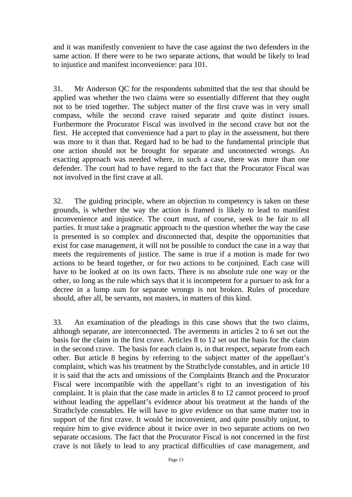and it was manifestly convenient to have the case against the two defenders in the same action. If there were to be two separate actions, that would be likely to lead to injustice and manifest inconvenience: para 101.

31. Mr Anderson QC for the respondents submitted that the test that should be applied was whether the two claims were so essentially different that they ought not to be tried together. The subject matter of the first crave was in very small compass, while the second crave raised separate and quite distinct issues. Furthermore the Procurator Fiscal was involved in the second crave but not the first. He accepted that convenience had a part to play in the assessment, but there was more to it than that. Regard had to be had to the fundamental principle that one action should not be brought for separate and unconnected wrongs. An exacting approach was needed where, in such a case, there was more than one defender. The court had to have regard to the fact that the Procurator Fiscal was not involved in the first crave at all.

32. The guiding principle, where an objection to competency is taken on these grounds, is whether the way the action is framed is likely to lead to manifest inconvenience and injustice. The court must, of course, seek to be fair to all parties. It must take a pragmatic approach to the question whether the way the case is presented is so complex and disconnected that, despite the opportunities that exist for case management, it will not be possible to conduct the case in a way that meets the requirements of justice. The same is true if a motion is made for two actions to be heard together, or for two actions to be conjoined. Each case will have to be looked at on its own facts. There is no absolute rule one way or the other, so long as the rule which says that it is incompetent for a pursuer to ask for a decree in a lump sum for separate wrongs is not broken. Rules of procedure should, after all, be servants, not masters, in matters of this kind.

33. An examination of the pleadings in this case shows that the two claims, although separate, are interconnected. The averments in articles 2 to 6 set out the basis for the claim in the first crave. Articles 8 to 12 set out the basis for the claim in the second crave. The basis for each claim is, in that respect, separate from each other. But article 8 begins by referring to the subject matter of the appellant's complaint, which was his treatment by the Strathclyde constables, and in article 10 it is said that the acts and omissions of the Complaints Branch and the Procurator Fiscal were incompatible with the appellant's right to an investigation of his complaint. It is plain that the case made in articles 8 to 12 cannot proceed to proof without leading the appellant's evidence about his treatment at the hands of the Strathclyde constables. He will have to give evidence on that same matter too in support of the first crave. It would be inconvenient, and quite possibly unjust, to require him to give evidence about it twice over in two separate actions on two separate occasions. The fact that the Procurator Fiscal is not concerned in the first crave is not likely to lead to any practical difficulties of case management, and